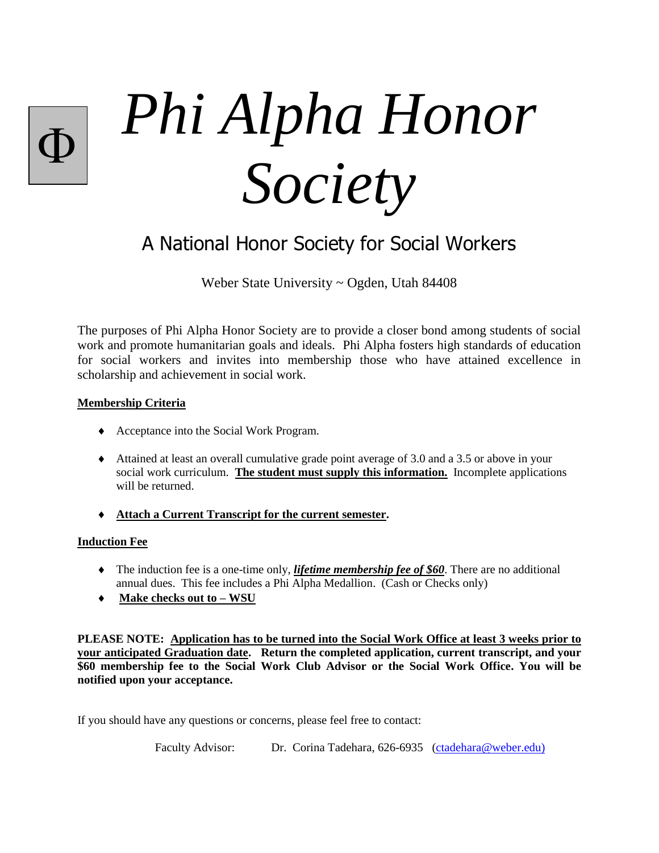*Phi Alpha Honor Society*  $\overline{\Phi}$ 

A National Honor Society for Social Workers

Weber State University ~ Ogden, Utah 84408

The purposes of Phi Alpha Honor Society are to provide a closer bond among students of social work and promote humanitarian goals and ideals. Phi Alpha fosters high standards of education for social workers and invites into membership those who have attained excellence in scholarship and achievement in social work.

### **Membership Criteria**

- Acceptance into the Social Work Program.
- Attained at least an overall cumulative grade point average of 3.0 and a 3.5 or above in your social work curriculum. **The student must supply this information.** Incomplete applications will be returned.
- **Attach a Current Transcript for the current semester.**

### **Induction Fee**

- The induction fee is a one-time only, *lifetime membership fee of \$60*. There are no additional annual dues. This fee includes a Phi Alpha Medallion. (Cash or Checks only)
- **Make checks out to – WSU**

**PLEASE NOTE: Application has to be turned into the Social Work Office at least 3 weeks prior to your anticipated Graduation date. Return the completed application, current transcript, and your \$60 membership fee to the Social Work Club Advisor or the Social Work Office. You will be notified upon your acceptance.**

If you should have any questions or concerns, please feel free to contact:

Faculty Advisor: Dr. Corina Tadehara, 626-6935 [\(ctadehara@weber.edu\)](mailto:ctadehara@weber.edu))